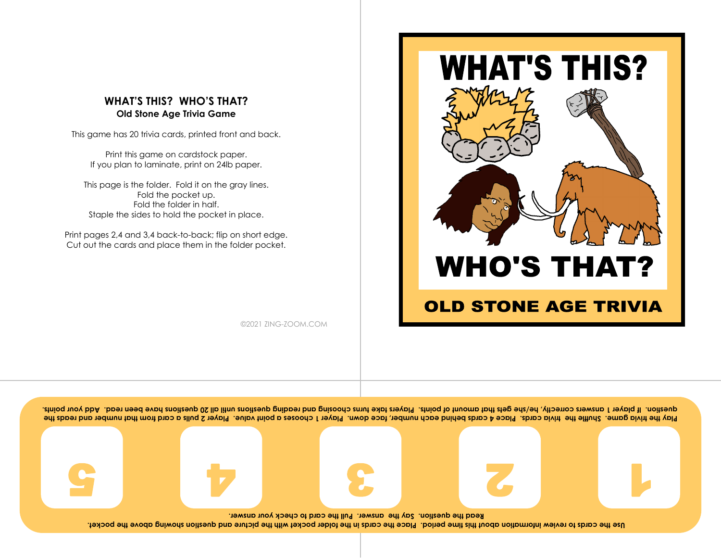

This game has 20 trivia cards, printed front and back.

Print this game on cardstock paper. If you plan to laminate, print on 24lb paper.

This page is the folder. Fold it on the gray lines. Fold the pocket up. Fold the folder in half. Staple the sides to hold the pocket in place.

Print pages 2,4 and 3,4 back-to-back; flip on short edge. Cut out the cards and place them in the folder pocket.

**WHAT'S THIS? WHO'S THAT?** 

#### **OLD STONE AGE TRIVIA**

©2021 ZING-ZOOM.COM

Play the trivia game. Shuffle the cards and a cards behind each number, face down. Player 1 chooses a point value. Player 2 pulls a card from that mumber and reads the arestion. If player 1 answers correctly, he/she gets that more than the different and reading question player and your points. Pured we are that we dependent of points.

 $S \cup \mathcal{P} \cup \mathcal{E} \cup \mathcal{Z} \cup \mathcal{P}$ 

Use the cards to review information about this time period. Place the folder pocket with the picture and question sumble porcket. **Read the question. Say the answer. Pull the card to check your answer.**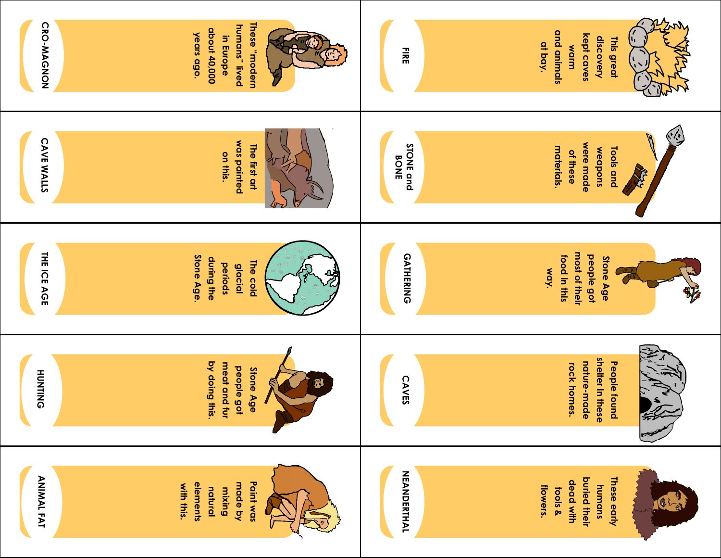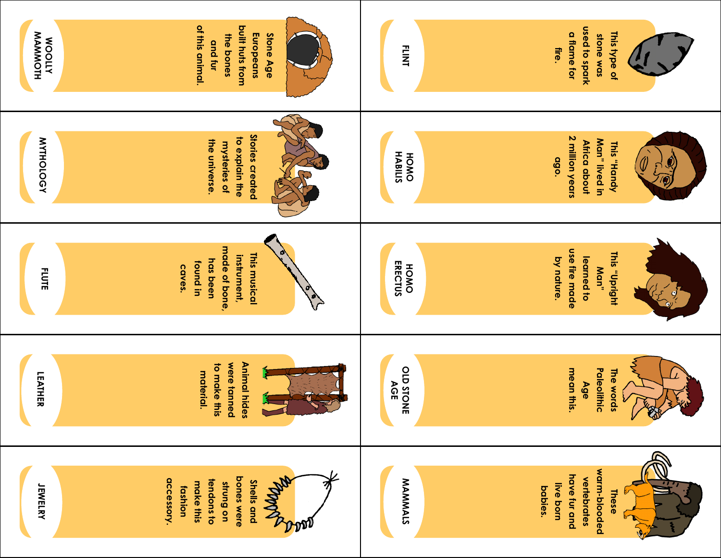